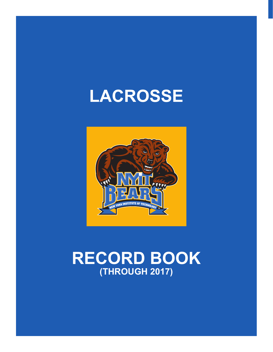# **LACROSSE**



# **RECORD BOOK (THROUGH 2017)**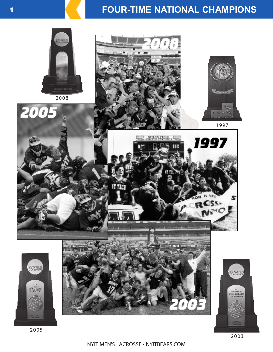# **FOUR-TIME NATIONAL CHAMPIONS**



NYIT MEN'S LACROSSE • NYITBEARS.COM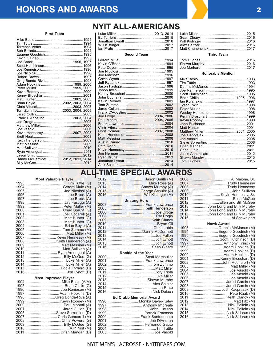# **HONORS AND AWARDS** <sup>2</sup>

#### **First Team**

| Adam Hopkins 1999, 2000         |  |  |
|---------------------------------|--|--|
| Peter Muller 1999, 2002         |  |  |
|                                 |  |  |
|                                 |  |  |
| Matt Hunter2002, 2003           |  |  |
| Brian Boyle 2002, 2003, 2004    |  |  |
|                                 |  |  |
| Tom Zummo2003, 2004, 2005       |  |  |
|                                 |  |  |
|                                 |  |  |
|                                 |  |  |
|                                 |  |  |
|                                 |  |  |
| Kevin Hennessy2007, 2008        |  |  |
|                                 |  |  |
|                                 |  |  |
|                                 |  |  |
|                                 |  |  |
|                                 |  |  |
|                                 |  |  |
| Danny McDermott2012, 2013, 2014 |  |  |
|                                 |  |  |

|  |  |  |  |  | <b>NYIT ALL-AMERICANS</b> |  |  |  |
|--|--|--|--|--|---------------------------|--|--|--|
|  |  |  |  |  |                           |  |  |  |

**Second Team**

| Third Team |  |
|------------|--|

#### **Honorable Mention**

| Matthew Miller2004, 2005 |  |
|--------------------------|--|
|                          |  |
|                          |  |
|                          |  |
|                          |  |
|                          |  |
|                          |  |
|                          |  |

2007.....................................Trudy Hennessy 2008.....................................Trudy Hennessy 2009......................................... John Sullivan 2010.............................. Kevin Hennessy, Sr. 2011..........................................Ellen McGee 2012.............................Ellen and Bill McGee 2013..................John Long and Billy Murphy 2014..................John Long and Billy Murphy 20<mark>1</mark>5..................John Long and Billy Murphy 2016.........................................Al Schweigert **Hawk Award** 1993............................ Dennis McManus (M) 1994............................Eugene Goodrich (M) 1995............................Eugene Goodrich (M) 1996............................. Scott Hutchinson (D) 1997.................................Anthony Tirino (M) 1998.................................Adam Hopkins (D) 1999.................................Adam Hopkins (D) 2000.................................Adam Hopkins (D) 2001..............................Kenny Broschart (D) 2002................................John Rochefort (M) 2003....................................... Matt Miller (M) 2004.......................................Joe Vasold (M) 2005.......................................Joe Vasold (M) 2006.......................................Joe Vasold (M) 2007................................... Jared Garcia (M) 2008................................... Jared Garcia (M) 2009...............................Josh Kacprazak (D) 2010.......................................Pete Raab (M) 2011....................................Keith Clancy (M) 2012.......................................... Matt Fitz (M) 2013..................................... Nick Pellela (M) 2014.....................................NIck Pellela (M) 2015....................................Nick Sidaras (M) 2016....................................Nick Sidaras (M)

# 2006........................................Al Maione, Sr. **ALL-TIME SPECIAL AWARDS**

### **Unsung Hero**

| <b>Example 19 University Property</b> |
|---------------------------------------|
|                                       |
|                                       |
|                                       |
|                                       |
|                                       |
|                                       |
|                                       |
|                                       |
|                                       |
|                                       |
|                                       |
|                                       |
|                                       |
| Rookie of the Year                    |
|                                       |
|                                       |
|                                       |
|                                       |
|                                       |
|                                       |
|                                       |
|                                       |
|                                       |
|                                       |
|                                       |
| <b>Ed Crabb Memorial Award</b>        |
| 1996 Monika Bayer-Kaley               |
|                                       |
|                                       |
|                                       |
| 2000 Frank Santodonato                |
|                                       |
|                                       |
|                                       |
|                                       |

| <b>Most Valuable Player</b> |
|-----------------------------|
|                             |
|                             |
|                             |
|                             |
|                             |
|                             |
|                             |
|                             |
|                             |
|                             |
|                             |
|                             |
|                             |
|                             |
|                             |
|                             |
|                             |
|                             |
| 2011 Ryan Amengual (A)      |
|                             |
|                             |
|                             |
| 2015 Eddie Torriero (D)     |
|                             |
|                             |

#### **Most Improved Player**

| 1998Greg Bonda-Riva (A)  |
|--------------------------|
|                          |
|                          |
|                          |
| 2005Steve Sorrentino (D) |
|                          |
|                          |
|                          |
|                          |
|                          |
|                          |

# NYIT MEN'S LACROSSE • NYITBEARS.COM

2005............................................. Joe Vasold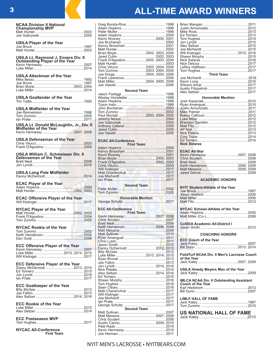| <b>NCAA Division II National</b><br><b>Championship MVP</b> |  |
|-------------------------------------------------------------|--|
| Matt Hunter                                                 |  |

| <b>USILA Player of the Year</b>                                       |
|-----------------------------------------------------------------------|
| USILA Lt. Raymond J. Enners Div. II<br>Outstanding Player of the Year |
| USILA Attackman of the Year                                           |
|                                                                       |
| <b>USILA Goaltender of the Year</b>                                   |
| <b>USILA Midfielder of the Year</b>                                   |
| USILA Lt. Donald McLaughlin, Jr., Div. II<br>Midfielder of the Year   |
|                                                                       |
| <b>USILA Defenseman of the Year</b>                                   |
| USILA William C. Schmeisser Div. II<br>Defenseman of the Year         |
| <b>USILA Long Pole Midfielder</b>                                     |
|                                                                       |
| <b>ECAC Offensive Player of the Year</b>                              |
| <b>NYCAC Player of the Year</b>                                       |
| <b>NYCAC Rookie of the Year</b>                                       |
| <b>ECC Offensive Player of the Year</b>                               |
|                                                                       |
| ECC Defensive Player of the Year<br>Danny McDermott 2013, 2014        |
| <b>ECC Goalkeeper of the Year</b>                                     |
| <b>ECC Rookie of the Year</b>                                         |
| <b>ECC Postseason MVP</b>                                             |
|                                                                       |

**NYCAC All-Conference First Team**

# <sup>3</sup> **ALL-TIME AWARD WINNERS**

| Brian Boyle 2002, 2003, 2004       |  |  |  |
|------------------------------------|--|--|--|
|                                    |  |  |  |
| Frank D'Agostino  2002, 2003, 2004 |  |  |  |
|                                    |  |  |  |
| Chris Vitucci2003, 2004, 2005      |  |  |  |
| Tom Zummo 2003, 2004, 2005         |  |  |  |
| Joe Droge2004, 2005, 2006          |  |  |  |
|                                    |  |  |  |
| Matt Miller2004, 2005, 2006        |  |  |  |
|                                    |  |  |  |
| <b>Second Team</b>                 |  |  |  |
|                                    |  |  |  |
|                                    |  |  |  |
|                                    |  |  |  |
|                                    |  |  |  |
|                                    |  |  |  |

| Paul Montali2003, 2004, 2005 |  |
|------------------------------|--|
|                              |  |
|                              |  |
|                              |  |
|                              |  |
|                              |  |
|                              |  |

### **ECAC All-Conference**

| <b>First Team</b> |  |  |  |
|-------------------|--|--|--|
|                   |  |  |  |
|                   |  |  |  |
|                   |  |  |  |
|                   |  |  |  |
|                   |  |  |  |
|                   |  |  |  |
|                   |  |  |  |
|                   |  |  |  |
|                   |  |  |  |
|                   |  |  |  |
|                   |  |  |  |

| <b>Second Team</b> |  |
|--------------------|--|
|                    |  |
|                    |  |

| <b>Honorable Mention</b> |  |
|--------------------------|--|
|                          |  |
|                          |  |

#### **ECC All-Conference**

| ט הודעטוווטן ט<br><b>First Team</b>                                  |  |
|----------------------------------------------------------------------|--|
| Kevin Henn <mark>e</mark> ssy <mark></mark> <mark></mark> 2007, 2008 |  |
|                                                                      |  |
|                                                                      |  |
|                                                                      |  |
|                                                                      |  |
|                                                                      |  |
|                                                                      |  |
|                                                                      |  |
|                                                                      |  |
| Danny DcDermott2012, 2013                                            |  |
|                                                                      |  |
|                                                                      |  |
|                                                                      |  |
|                                                                      |  |
|                                                                      |  |
|                                                                      |  |
|                                                                      |  |
|                                                                      |  |
|                                                                      |  |
|                                                                      |  |
|                                                                      |  |
|                                                                      |  |
|                                                                      |  |
|                                                                      |  |
|                                                                      |  |
|                                                                      |  |
| <b>Second Team</b>                                                   |  |
|                                                                      |  |
|                                                                      |  |
|                                                                      |  |
|                                                                      |  |
|                                                                      |  |
|                                                                      |  |
|                                                                      |  |

| <b>Third Team</b>        |  |
|--------------------------|--|
|                          |  |
|                          |  |
|                          |  |
|                          |  |
|                          |  |
| <b>Honorable Mention</b> |  |
|                          |  |
|                          |  |
|                          |  |
|                          |  |
|                          |  |
|                          |  |
|                          |  |

| <b>Nick Sidaras</b> |  |
|---------------------|--|
|                     |  |

#### **ECAC All-Star**

| LVAV AIPVM |                           |
|------------|---------------------------|
|            | Kevin Hennessy 2007, 2008 |
|            |                           |
|            |                           |
|            | Keith Henderson2008. 2009 |
|            |                           |
|            |                           |
|            |                           |

### **ACADEMIC HONORS**

| NYIT Student-Athlete of the Year                |  |
|-------------------------------------------------|--|
|                                                 |  |
|                                                 |  |
|                                                 |  |
|                                                 |  |
| NYCAC Scholar-Athlete of the Year               |  |
|                                                 |  |
|                                                 |  |
| <b>CoSIDA Academic All-District I</b>           |  |
|                                                 |  |
| <b>COACHING HONORS</b>                          |  |
| <b>ECC Coach of the Year</b>                    |  |
|                                                 |  |
|                                                 |  |
| FieldTurf NCAA Div. II Men's Lacrosse Coach     |  |
| of the Year                                     |  |
|                                                 |  |
|                                                 |  |
| <b>USILA Howdy Meyers Man of the Year</b>       |  |
|                                                 |  |
| <b>IMLCA NCAA Div. II Outstanding Assistant</b> |  |
| <b>Coach of the Year</b>                        |  |
|                                                 |  |
|                                                 |  |
| <b>LIMLF HALL OF FAME</b>                       |  |
|                                                 |  |
|                                                 |  |
| <b>US NATIONAL HALL OF FAME</b>                 |  |
|                                                 |  |
|                                                 |  |
|                                                 |  |

# NYIT MEN'S LACROSSE • NYITBEARS.COM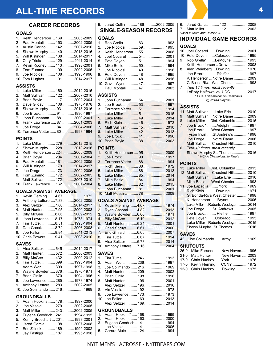# **ALL-TIME RECORDS** <sup>4</sup>

# **CAREER RECORDS**

### **GOALS**

| 1. Keith Henderson  1692005-2009 |  |
|----------------------------------|--|
| 2 Paul Montali  1532002-2005     |  |
| 3. Austin Carino  142 2007-2010  |  |
| 4. Shawn Murphy  1402013-2016    |  |
| 5. Will Kistinger  1382014-2017  |  |
| 6. Cory Triola 129 2011-2014     |  |
| 7. Kevin Rooney 113 1998-2001    |  |
| 8. Tom Zummo 1092002-2005        |  |
| 9. Joe Nicolosi 108 1995-1996    |  |
| 10. Tom Hughes 1012014-2017      |  |

# **ASSISTS**

|  | 1. Luke Miller 1602012-2015<br>2. Matt Sullivan  122 2007-2010<br>3. Brian Boyle 1172002-2004<br>3. Dave Gilday  108  1975-1978<br>5. Shawn Murphy  93 2013-2016<br>6. Joe Brock  91  1996-1997<br>7. John Buchanan  88 2000-2001<br>8. Frank Lawrence  87 2001-2003<br>9. Joe Droge  84 2004-2006<br>10. Terrence Vetter 80 1993-1994 |
|--|----------------------------------------------------------------------------------------------------------------------------------------------------------------------------------------------------------------------------------------------------------------------------------------------------------------------------------------|

#### **POINTS**

| 1. Luke Miller 2792012-2015      |  |
|----------------------------------|--|
| 2. Shawn Murphy  228 2013-2016   |  |
| 3. Keith Henderson  2242005-2009 |  |
| 4 Brian Boyle 2042001-2004       |  |
| 5. Paul Montali  1812002-2005    |  |
| 6. Will Kistinger  1792014-2017  |  |
| 7. Joe Droge  1732004-2006       |  |
| 8. Tom Zummo 1722002-2005        |  |
| Matt Sullivan  172  2007-2010    |  |
| 10. Frank Lawrence  1622001-2004 |  |

### **GOALS AGAINST AVERAGE**

| 2. Anthony Letterel7.83 2002-2005 |  |
|-----------------------------------|--|
| 3. Alex Seltzer7.86 2014-2017     |  |
| 4. Matt Hunter 7.95 2000-2003     |  |
| 5. Billy McGee 8.06 2009-2012     |  |
| 6. John Lawrence8.17 1973-1974    |  |
| 7. Tim Tuttle 8.51 1993-1994      |  |
| 8. Dan Goosk 8.72 2006-2008       |  |
| 9. Joe Fallon 8.84 2011-2013      |  |
| 10. Chris Powers9.41 2008-2010    |  |

#### **SAVES**

| 1. Alex Seltzer 6452014-2017     |  |
|----------------------------------|--|
| 2. Matt Hunter  5722000-2003     |  |
| 3. Billy McGee  432  2009-2012   |  |
| 4. Tim Tuttle  399  1993-1994    |  |
| Adam Wor  399  1997-1998         |  |
| 6. Wayne Bowden 376 1970-1971    |  |
| 7. Brian Cirillo 370 1994-1996   |  |
| 8. Joe Lawrence 285 1973-1974    |  |
| 9. Anthony Letterel 2832002-2005 |  |
| 10. Joe Solimando  216  1969     |  |
|                                  |  |

### **GROUNDBALLS**

| 1. Adam Hopkins 478 1997-2000      |  |
|------------------------------------|--|
| 2. Joe Vasold  279  2002-2005      |  |
| 3. Matt Miller  2432002-2005       |  |
| 4. Eugene Goodrich 241 1994-1995   |  |
| 5. Kenny Broschart  201  1998-2001 |  |
| 6 Jared Garcia  198 2007-2008      |  |
| 7 Eric Zilinek  189  1999-2002     |  |
| 8. Jay Fastiggi 187 1995-1998      |  |
|                                    |  |

## 9. Jared Cullin ........... 186...........2002-2005 **SINGLE-SEASON RECORDS**

# **GOALS**

| $\mathbf{1}$     |                           |  |
|------------------|---------------------------|--|
| 2.               | Joe Nicolosi 59 1995      |  |
| 3.               | Keith Henderson  55  2008 |  |
| $\overline{4}$ . | Joel Cocarel  54  2001    |  |
| 5.               |                           |  |
| 6.               | Mike Besio  50 1994       |  |
| 7.               | Joe Nicolosi 49 1996      |  |
| 8.               | Pete Doven  48  1995      |  |
|                  | Will Kistinger  48  2016  |  |
|                  | 10. Gavin Wynot  47  1997 |  |
|                  | Paul Montali  47  2003    |  |
|                  |                           |  |
|                  |                           |  |
|                  | <b>ASSISTS</b>            |  |
| $\mathbf 1$      |                           |  |
| 2.               |                           |  |
| 3.               | Terrence Vetter 51 1994   |  |
|                  |                           |  |
| 5.               |                           |  |
| 6.               |                           |  |
| 7.               |                           |  |
| 8.               |                           |  |
| 9.               |                           |  |
|                  |                           |  |

### **POINTS**

|  | 1. Keith Henderson  952009<br>9. John Buchanan  81 2001 |
|--|---------------------------------------------------------|

# **GOALS AGAINST AVERAGE**

| 2. Ryan Gaspari 4.82 <mark></mark> 2013                |  |
|--------------------------------------------------------|--|
| 3. Wayne Bowden6.00 <mark></mark> <mark>.</mark> .1971 |  |
|                                                        |  |
|                                                        |  |
|                                                        |  |
| 7. Eric Ghiraldi 6.65 2007                             |  |
|                                                        |  |
| 9. Alex Seltzer6.78 2014                               |  |
| 10. Anthony Letterel7.16 2004                          |  |
| SAVES                                                  |  |
|                                                        |  |

|   | 3. Joe Solimando  216  1969 |  |
|---|-----------------------------|--|
| 4 | Matt Hunter  209  2002      |  |
|   | 5. Brian Cirillo 198 1996   |  |
|   |                             |  |
|   | Alex Seltzer 1962016        |  |
|   | 8. Vic Vosilla  192 1978    |  |
|   | 9. Joe Lawrence 173 1973    |  |
|   |                             |  |
|   | Alex Seltzer 169 2014       |  |
|   | <b>GROUNDBALLS</b>          |  |
|   |                             |  |

| 1. Adam Hopkins*  168  1999   |  |
|-------------------------------|--|
| 2. Adam Hopkins 1602000       |  |
| 3. Eugene Goodrich  141  1994 |  |
|                               |  |
| 5. Gerard Mule  124  1994     |  |
|                               |  |

| 6.<br>7.                | Jared Garcia  122  2008<br>*Most in team and Division II.                                                                                                                                                                                                                                                                                                                                  |                          |  |
|-------------------------|--------------------------------------------------------------------------------------------------------------------------------------------------------------------------------------------------------------------------------------------------------------------------------------------------------------------------------------------------------------------------------------------|--------------------------|--|
|                         | <b>INDIVIDUAL GAME RECORDS</b>                                                                                                                                                                                                                                                                                                                                                             |                          |  |
| 10<br>10<br>9<br>8<br>7 | <b>GOALS</b><br>Joel Cocarel  Dowling  2001<br>Pete Doyen  Colorado  1995<br>Rob Grella* LeMoyne  1993<br>Keith Henderson  Drew 2008<br>Alan Weinberg Dowling  1970<br>Joe Brock  Pfeiffer  1997<br>K. Henderson  Notre Dame  2009<br>G. Bonda-Riva WestChester  1998<br>Tied 16 times, most recently<br>LeRoty Halftown vs. UDC 2017<br>* ECAC Championship Semifinals<br>@ NCAA playoffs |                          |  |
|                         | <b>ASSISTS</b>                                                                                                                                                                                                                                                                                                                                                                             |                          |  |
| 11<br>9<br>8            | Matt Sullivan  Lake Erie  2010<br>Matt Sullivan  Notre Dame 2009<br>Luke Miller Dist. Columbia  2015                                                                                                                                                                                                                                                                                       |                          |  |
| $\overline{7}$          | Joe Brock * Adelphi  1997<br>Joe Brock  West Chester  1997                                                                                                                                                                                                                                                                                                                                 |                          |  |
| 6                       | Tyson Irwin St.Andrew's  1998<br>Joe Droge  Notre Dame  2006<br>Matt Sullivan  Chestnut Hill2010<br>Tied 10 times, most recently                                                                                                                                                                                                                                                           |                          |  |
|                         | Shawn Murphy St. Thomas2016<br>* NCAA Championship Finals                                                                                                                                                                                                                                                                                                                                  |                          |  |
|                         | <b>POINTS</b>                                                                                                                                                                                                                                                                                                                                                                              |                          |  |
|                         | 13 Luke Miller Dist. Columbia  2015                                                                                                                                                                                                                                                                                                                                                        |                          |  |
| 12                      | Matt Sullivan  Chestnut Hill2010<br>Matt Sullivan Lake Erie 2010                                                                                                                                                                                                                                                                                                                           |                          |  |
|                         | Mike Besio  West Chester  1993                                                                                                                                                                                                                                                                                                                                                             |                          |  |
| 11                      | Joe Lapaglia  York  1969                                                                                                                                                                                                                                                                                                                                                                   |                          |  |
|                         | Rich Klein Dowling  1971                                                                                                                                                                                                                                                                                                                                                                   |                          |  |
|                         | G. Bonda-Riva West Chester  1998<br>K. Henderson  Bryant 2006                                                                                                                                                                                                                                                                                                                              |                          |  |
|                         | Luke Miller  Roberts Wesleyan  2014                                                                                                                                                                                                                                                                                                                                                        |                          |  |
| 10                      | Joe Droge  St. Andrews 2005                                                                                                                                                                                                                                                                                                                                                                |                          |  |
|                         | Joe Brock  Pfeiffer  1997                                                                                                                                                                                                                                                                                                                                                                  |                          |  |
|                         | Pete Doyen  Colorado  1995                                                                                                                                                                                                                                                                                                                                                                 |                          |  |
|                         | Luke Miller Roberts Wesleyan  2015<br>Shawn Murphy St. Thomas  2016                                                                                                                                                                                                                                                                                                                        |                          |  |
|                         | <b>SAVES</b><br>42 Joe Solimando                                                                                                                                                                                                                                                                                                                                                           | Army  1969               |  |
|                         | <b>SHUTOUTS</b>                                                                                                                                                                                                                                                                                                                                                                            |                          |  |
| 25-0                    | Mike Faraone                                                                                                                                                                                                                                                                                                                                                                               | New Haven 1996           |  |
|                         | 21-0 Matt Hunter                                                                                                                                                                                                                                                                                                                                                                           | New Haven 2003           |  |
|                         | 17-0 Chris Huckzo.<br>17-0 Kevin Fleming                                                                                                                                                                                                                                                                                                                                                   | York  1976<br>CCNY  1972 |  |
|                         | 13-0 Chris Huckzo                                                                                                                                                                                                                                                                                                                                                                          | Dowling  1975            |  |

# NYIT MEN'S LACROSSE • NYITBEARS.COM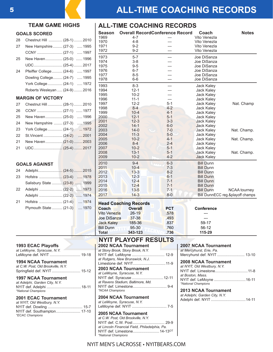# <sup>5</sup> **ALL-TIME COACHING RECORDS**

Vito Venezla

**Season Overall RecordConference Record Coach Notes**

**ALL-TIME COACHING RECORDS**

# **TEAM GAME HIGHS**

#### **GOALS SCORED**

| 28 | Chestnut Hill  (28-1)  2010    |
|----|--------------------------------|
| 27 | New Hampshire (27-3)  1995     |
|    |                                |
| 25 | New Haven (25-0)  1996         |
|    |                                |
| 24 | Pfeiffer College  (24-6)  1997 |
|    | Dowling College (24-7)  1995   |
|    | York College (24-1)  1972      |
|    | Roberts Wesleyan  (24-9)  2016 |
|    | MADOIN OF VIOTODV              |

#### **MARGIN OF VICTORY**

| 27 | Chestnut Hill (28-1) 2010      |  |
|----|--------------------------------|--|
| 26 |                                |  |
| 25 | New Haven (25-0)  1996         |  |
|    | 24 New Hampshire  (27-3)  1995 |  |
| 23 | York College  (24-1)  1972     |  |
| 22 |                                |  |
|    | 21 New Haven (21-0) 2003       |  |
| 21 |                                |  |
|    |                                |  |

## **GOALS AGAINST**

| 24 |                               |              |
|----|-------------------------------|--------------|
| 23 |                               |              |
|    | Salisbury State  (23-8)  1999 |              |
| 22 |                               |              |
|    |                               |              |
| 21 |                               | $\dots$ 1974 |
|    | Plymouth State  (21-3)        | 1970         |
|    |                               |              |

| ∠o                            | Criestriut mill  (20-1)  2010      |                                   | 1970                       | $4 - 8$                            | ---                 | Vito Venezla                  |                                  |
|-------------------------------|------------------------------------|-----------------------------------|----------------------------|------------------------------------|---------------------|-------------------------------|----------------------------------|
| 27                            | New Hampshire (27-3)  1995         |                                   | 1971                       | $9 - 2$                            | $---$               | Vito Venezla                  |                                  |
|                               |                                    |                                   | 1972                       | $9 - 2$                            | $---$               | Vito Venezla                  |                                  |
|                               |                                    |                                   | 1973                       | $5 - 7$                            | ---                 | Joe DiSanza                   |                                  |
| 25                            | New Haven (25-0)  1996             |                                   | 1974                       | $3-8$                              | $---$               | Joe DiSanza                   |                                  |
|                               |                                    |                                   | 1975                       | $9 - 5$                            | ---                 | Joe DiSanza                   |                                  |
| 24                            | Pfeiffer College  (24-6)  1997     |                                   | 1976                       | $6 - 7$                            | $---$               | Joe DiSanza                   |                                  |
|                               |                                    |                                   | 1977                       | $8 - 5$                            | ---                 | Joe DiSanza                   |                                  |
|                               | Dowling College (24-7)  1995       |                                   | 1978                       | $6-6$                              | ---                 | Joe DiSanza                   |                                  |
|                               | York College  (24-1)  1972         |                                   | 1993                       | $8 - 3$                            | ---                 | Jack Kaley                    |                                  |
|                               | Roberts Wesleyan  (24-9)  2016     |                                   | 1994                       | $12 - 1$                           | ---                 | Jack Kaley                    |                                  |
|                               |                                    |                                   | 1995                       | $10 - 2$                           | ---                 | Jack Kaley                    |                                  |
|                               | <b>MARGIN OF VICTORY</b>           |                                   | 1996                       | $11 - 1$                           | ---                 | Jack Kaley                    |                                  |
| 27                            | Chestnut Hill  (28-1)  2010        |                                   | 1997                       | $12 - 2$                           | $5 - 1$             | Jack Kaley                    | Nat. Champ                       |
| 26                            |                                    |                                   | 1998                       | $8 - 4$                            | $4 - 2$             | Jack Kaley                    |                                  |
|                               |                                    |                                   | 1999                       | $10 - 4$                           | $4 - 1$             | Jack Kaley                    |                                  |
| 25                            | New Haven (25-0)  1996             |                                   | 2000                       | $12 - 1$                           | $5 - 1$             | Jack Kaley                    |                                  |
| 24                            | New Hampshire  (27-3)  1995        |                                   | 2001                       | $12 - 3$                           | $3 - 3$             | <b>Jack Kaley</b>             |                                  |
| 23                            | York College  (24-1)               | 1972                              | 2002                       | $14-1$                             | $6-0$               | <b>Jack Kaley</b>             |                                  |
|                               |                                    |                                   | 2003<br>2004               | $14-0$                             | $7 - 0$<br>$5-0$    | Jack Kaley<br>Jack Kaley      | Nat. Champ.                      |
| 22                            | St. Vincent  (24-2)  2001          |                                   | 2005                       | $11 - 3$<br>$10 - 2$               | $4 - 1$             | Jack Kaley                    | Nat. Champ.                      |
| 21                            | New Haven (21-0) 2003              |                                   | 2006                       | $8 - 4$                            | $2 - 4$             | Jack Kaley                    |                                  |
| 21                            |                                    |                                   | 2007                       | $10 - 2$                           | $5 - 1$             | Jack Kaley                    |                                  |
|                               |                                    |                                   | 2008                       | $13 - 1$                           | $5 - 1$             | Jack Kaley                    | Nat. Champ.                      |
|                               |                                    |                                   | 2009                       | $10 - 2$                           | $4 - 2$             | <b>Jack Kaley</b>             |                                  |
|                               |                                    |                                   | 2010                       | $9 - 4$                            | $6 - 3$             | <b>Bill Dunn</b>              |                                  |
|                               | <b>GOALS AGAINST</b>               |                                   | 2011                       | $10 - 4$                           | $7 - 3$             | <b>Bill Dunn</b>              |                                  |
| 24                            |                                    |                                   | 2012                       | $13 - 3$                           | $8 - 2$             | <b>Bill Dunn</b>              |                                  |
| 23                            |                                    |                                   | 2013                       | $12 - 3$                           | $6 - 1$             | <b>Bill Dunn</b>              |                                  |
|                               |                                    |                                   | 2014                       | $12 - 4$                           | $7 - 1$             | <b>Bill Dunn</b>              |                                  |
|                               | Salisbury State  (23-8)  1999      |                                   | 2015                       | $12 - 4$                           | $7 - 1$             | <b>Bill Dunn</b>              |                                  |
| 22                            |                                    |                                   | 2016                       | $13 - 5$                           | $7 - 1$             | <b>Bill Dunn</b>              | NCAA tourney                     |
|                               |                                    |                                   | 2017                       | $14 - 3$                           | $8 - 0$             |                               | Bill DunnECC reg.&playoff champs |
| 21                            |                                    |                                   |                            |                                    |                     |                               |                                  |
|                               |                                    |                                   |                            | <b>Head Coaching Records</b>       |                     |                               |                                  |
|                               | Plymouth State  (21-3)  1970       |                                   | Coach                      | <b>Overall</b>                     | <b>PCT</b>          | <b>Conference</b>             |                                  |
|                               |                                    |                                   | <b>Vito Venezla</b>        | $26 - 19$                          | .578                | ---                           |                                  |
|                               |                                    |                                   | Joe DiSanza                | $37 - 38$                          | .493                |                               |                                  |
|                               |                                    |                                   | <b>Jack Kaley</b>          | 185-36                             | .837                | 59-17                         |                                  |
|                               |                                    |                                   | <b>Bill Dunn</b>           | 95-30                              | .760                | 56-12                         |                                  |
|                               |                                    |                                   | <b>Total</b>               | 343-123                            | .736                | 115-29                        |                                  |
|                               |                                    |                                   |                            | <b>NYIT PLAYOFF RESULTS</b>        |                     |                               |                                  |
|                               | <b>1993 ECAC Playoffs</b>          |                                   |                            | <b>2002 NCAA Tournament</b>        |                     | <b>2007 NCAA Tournament</b>   |                                  |
|                               | at LeMoyne, Syracuse, N.Y.         |                                   |                            | at Stony Brook, Stony Brook, N.Y.  |                     | at Mercyhurst, Erie, Pa.      |                                  |
|                               | LeMoyne def. NYIT  19-18           |                                   |                            | NYIT def. LeMoyne  12-9            |                     | Mercyhurst def. NYIT  13-10   |                                  |
|                               | <b>1994 NCAA Tournament</b>        |                                   |                            | at Rutgers, New Brunswick, N.J.    |                     | 2008 NCAA Tournament          |                                  |
|                               | at C.W. Post, Old Brookville, N.Y. |                                   |                            | Limestone def. NYIT11-9            |                     | at NYIT, Old Westbury, N.Y.   |                                  |
|                               | Springfield def. NYIT  15-12       |                                   |                            | <b>2003 NCAA Tournament</b>        |                     | NYIT def. Limestone11-8       |                                  |
|                               |                                    |                                   | at LeMoyne, Syracuse, N.Y. |                                    |                     | at Boston, Mass.              |                                  |
|                               | <b>1997 NCAA Tournament</b>        |                                   |                            |                                    |                     | NYIT def. LeMoyne 16-11       |                                  |
| at Adelphi, Garden City, N.Y. |                                    | at Ravens Stadium, Baltimore, Md. |                            |                                    | *National Champions |                               |                                  |
|                               |                                    |                                   | *NCAA Champions            |                                    |                     | <b>2013 NCAA Tournament</b>   |                                  |
|                               | *National Champions                |                                   |                            |                                    |                     | at Adelphi, Garden City, N.Y. |                                  |
|                               | 2001 ECAC Tournament               |                                   |                            | 2004 NCAA Tournament               |                     |                               |                                  |
|                               | at NYIT, Old Westbury, N.Y.        |                                   | at LeMoyne, Syracuse, N.Y. |                                    |                     |                               |                                  |
|                               | NYIT def. Dowling  15-7            |                                   |                            |                                    |                     |                               |                                  |
|                               | NYIT def. Southampton 17-10        |                                   | 2005 NCAA Tournament       |                                    |                     |                               |                                  |
|                               | <i>*ECAC Champions</i>             |                                   |                            | at C.W. Post, Old Brookville, N.Y. |                     |                               |                                  |
|                               |                                    |                                   |                            | NYIT def. C.W. Post  29-9          |                     |                               |                                  |

# NYIT MEN'S LACROSSE • NYITBEARS.COM

*at Lincoln Financial Field, Philadelphia, Pa.* NYIT def. Limestone.........................14-13OT

*\*National Champions*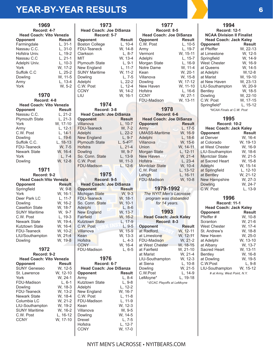# **YEAR-BY-YEAR RESULTS** <sup>6</sup>

| 1969<br>Record: 4-7             |                    | H                 |
|---------------------------------|--------------------|-------------------|
| <b>Head Coach: Vito Venezla</b> |                    |                   |
| Opponent                        | <b>Result</b>      | Opr               |
| Farmingdale                     | $L, 31-1$          | Bos               |
|                                 |                    |                   |
| Nassau C.C.                     | $L, 31-0$          | FDL               |
| Hofstra Univ.                   | L, 19-2            | Clar              |
| Nassau C.C                      | L, 21-1            | MIT               |
| Adelphi Univ.                   | $L, 10-3$          | Plyr              |
| York                            | W, 17-2            | Nev               |
| Suffolk C.C                     | L, 25-2            | SUN               |
| Dowling                         |                    | Dov               |
| Army                            | W, 11-5<br>L, 13-4 | Ade               |
| York                            | W, 5-2             | C.W               |
|                                 |                    |                   |
|                                 |                    | <b>CCI</b>        |
| 1970                            |                    | LIU               |
| Record: 4-8                     |                    |                   |
| <b>Head Coach: Vito Venezla</b> |                    |                   |
| Opponent                        | <b>Result</b>      |                   |
| Nassau C.C.                     | L, 21-2            | Н٥                |
| <b>Plymouth State</b>           | $L, 21-3$          | Opp               |
| York                            | W, 17-10           | Villa             |
| Army                            | $L, 12-1$          | <b>FDL</b>        |
|                                 |                    |                   |
| C.W. Post                       | L, 14-1            | Ade               |
| Dowling                         | L, 19-6            | Nev               |
| Suffolk C.C.                    | $L, 18-13$         | Plyr              |
| FDU-Teaneck                     | W, 7-5             | Hof:              |
| Newark State                    | W, 16-4            | Dov               |
| York                            | $L, 7-4$           | So.               |
| Dowling                         | W, 12-8            | C.V               |
|                                 |                    | <b>FDL</b>        |
| 1971                            |                    |                   |
| Record: 9-2                     |                    |                   |
|                                 |                    |                   |
| <b>Head Coach: Vito Venezla</b> |                    |                   |
| Opponent                        | <b>Result</b>      | H                 |
| Springfield                     | W, 9-8             | Opr               |
| York                            | W, 16-1            | Micl              |
| Deer Park LC                    | L, 11-7            | <b>FDL</b>        |
| Dowling                         | W, 16-2            | So.               |
| <b>Caselton State</b>           | W, 18-7            | Ade               |
| <b>SUNY Maritime</b>            | W, 9-7             | Nev               |
| C.W. Post                       | L, 19-3            | Fair              |
| Newark State                    | W, 19-4            | Kutz              |
|                                 |                    | C.V               |
| Kutztown State                  | W, 16-4            |                   |
| FDU-Teaneck                     | W,<br>$10 - 2$     | Villa             |
| LIU/Southampton                 | W, 21-4            | Kea               |
| Dowling                         | W, 19-8            | Hofs              |
|                                 |                    | CCI               |
| 1972                            |                    | FDl               |
| Record: 9-2                     |                    |                   |
| <b>Head Coach: Vito Venezla</b> |                    |                   |
| Opponent                        | <b>Result</b>      |                   |
| <b>SUNY Geneseo</b>             | W, 12-5            | H                 |
| St. Lawrence                    | W, 12-10           |                   |
|                                 |                    | Opr               |
| York                            | W, 24-1            | Arm               |
| FDU-Madison                     | $L, 6-1$           | Kutz              |
| Dowling                         | W, 18-3            | Ade               |
| FDU-Teaneck                     | W, 13-2            | Nev               |
| Newark State                    | W, 18-4            | C.V               |
| Columbia LC                     | W, 21-2            | FDL               |
|                                 |                    |                   |
| LIU-Southampton                 | W, 19-2            | Kea               |
| <b>SUNY Maritime</b>            | W, 16-2            | Villa             |
| C.W. Post                       | L, 16-12           | Dov               |
| <b>CCNY</b>                     | W, 17-10           | Dre:              |
|                                 |                    | $\sqcup_{\cap}$ f |

| 1973                                                                                                                                                                                         |                                                                                                                                                        |  |  |
|----------------------------------------------------------------------------------------------------------------------------------------------------------------------------------------------|--------------------------------------------------------------------------------------------------------------------------------------------------------|--|--|
| <b>Head Coach: Joe DiSanza</b><br>Record: 5-7                                                                                                                                                |                                                                                                                                                        |  |  |
| Opponent<br><b>Boston College</b><br>FDU-Teaneck<br>Clarkson<br>MIT<br><b>Plymouth State</b><br>New England<br><b>SUNY Maritime</b><br>Dowling<br>Adelphi<br>C.W. Post<br><b>CCNY</b><br>LIU | <b>Result</b><br>L, 10-4<br>W, 14-8<br>$L, 8-7$<br>W, 13-4<br>$L, 9-1$<br>L, 11-7<br>W, 11-2<br>$L, 7-5$<br>L, 22-2<br>L, $12-4$<br>W, 14-2<br>W, 16-1 |  |  |
| 1974                                                                                                                                                                                         |                                                                                                                                                        |  |  |
| Record: 3-8<br><b>Head Coach: Joe DiSanza</b>                                                                                                                                                |                                                                                                                                                        |  |  |
| <b>Opponent</b>                                                                                                                                                                              | <b>Result</b>                                                                                                                                          |  |  |
| Villanova                                                                                                                                                                                    | $L, 10-7$                                                                                                                                              |  |  |
| <b>FDU-Teaneck</b>                                                                                                                                                                           | W, 7-2                                                                                                                                                 |  |  |
| Adelphi<br><b>New England</b>                                                                                                                                                                | $L, 22-2$<br>$L, 9-7$                                                                                                                                  |  |  |
| <b>Plymouth State</b>                                                                                                                                                                        | $L, 5-4$ OT                                                                                                                                            |  |  |
| Hofstra                                                                                                                                                                                      | $L, 21-4$                                                                                                                                              |  |  |
| Dowling                                                                                                                                                                                      | W, 9-7                                                                                                                                                 |  |  |
| So. Conn. State                                                                                                                                                                              | L, 13-9                                                                                                                                                |  |  |
| C.W. Post                                                                                                                                                                                    | W, 11-3<br>L, 12-6                                                                                                                                     |  |  |
| <b>FDU-Madison</b>                                                                                                                                                                           |                                                                                                                                                        |  |  |
| 1975                                                                                                                                                                                         |                                                                                                                                                        |  |  |
|                                                                                                                                                                                              |                                                                                                                                                        |  |  |
| Record: 9-5                                                                                                                                                                                  |                                                                                                                                                        |  |  |
| <b>Head Coach: Joe DiSanza</b>                                                                                                                                                               |                                                                                                                                                        |  |  |
| Opponent                                                                                                                                                                                     | <b>Result</b>                                                                                                                                          |  |  |
| Michigan State<br>FDU-Teaneck                                                                                                                                                                | W, 9-3                                                                                                                                                 |  |  |
| So. Conn. State                                                                                                                                                                              | W, 18-1<br>W, 10-1                                                                                                                                     |  |  |
| Adelphi                                                                                                                                                                                      | $L, 8-6$                                                                                                                                               |  |  |
| New England                                                                                                                                                                                  | W, 13-7                                                                                                                                                |  |  |
| Fairfield                                                                                                                                                                                    | W, 16-2                                                                                                                                                |  |  |
| Kutztown State                                                                                                                                                                               | $L, 17-9$                                                                                                                                              |  |  |
| C.W. Post<br>Villanova                                                                                                                                                                       | L, 9-5<br>W, 15-9                                                                                                                                      |  |  |
| Kean                                                                                                                                                                                         | W, 13-3                                                                                                                                                |  |  |
| Hofstra                                                                                                                                                                                      | $L, 4-3$                                                                                                                                               |  |  |
| <b>CCNY</b><br>FDU-Madison                                                                                                                                                                   | W, 16-4                                                                                                                                                |  |  |
|                                                                                                                                                                                              | $L, 6-5$                                                                                                                                               |  |  |
| 1976                                                                                                                                                                                         |                                                                                                                                                        |  |  |
| Record: 6-7                                                                                                                                                                                  |                                                                                                                                                        |  |  |
| <b>Head Coach: Joe DiSanza</b>                                                                                                                                                               |                                                                                                                                                        |  |  |
| Opponent<br>Army                                                                                                                                                                             | Result<br>L, 8-4                                                                                                                                       |  |  |
| Kutztown State                                                                                                                                                                               | $L, 9-8$                                                                                                                                               |  |  |
| Adelphi                                                                                                                                                                                      | L, 12-2                                                                                                                                                |  |  |
| New England                                                                                                                                                                                  | W, 16-7                                                                                                                                                |  |  |
| C.W. Post<br>FDU-Madison                                                                                                                                                                     | L, 11-8<br>L, 11-9                                                                                                                                     |  |  |
| Kean                                                                                                                                                                                         | W, 12-3                                                                                                                                                |  |  |
| Villanova                                                                                                                                                                                    | W, 9-5                                                                                                                                                 |  |  |
| Dowling                                                                                                                                                                                      | W, 14-5                                                                                                                                                |  |  |
| Drexel                                                                                                                                                                                       | $L, 7-5$                                                                                                                                               |  |  |
| Hofstra<br><b>CCNY</b>                                                                                                                                                                       | L, 12-7<br>W, 17-0                                                                                                                                     |  |  |

| 1977<br>Record: 8-5<br><b>Head Coach: Joe DiSanza</b><br>Opponent<br>C.W. Post<br>Army<br>W, 15-11<br>L, 15-7<br>Vermont<br>Adelphi<br>Morgan State | Result<br>L, 10-5<br>L, 19-7<br>$L, 16-9$<br>W, 11-4 |  |  |
|-----------------------------------------------------------------------------------------------------------------------------------------------------|------------------------------------------------------|--|--|
| Notre Dame<br>Kean<br>Villanova<br>W, 17-12<br>Dowling<br>W, 11-10<br>New Haven<br>Hofstra<br><b>CCNY</b><br>FDU-Madison<br>W, 13-11                | W, 20-1<br>W, 15-8<br>$L, 16-6$<br>W, 27-1           |  |  |
| 1978<br>Record: 6-6                                                                                                                                 |                                                      |  |  |
| <b>Head Coach: Joe DiSanza</b>                                                                                                                      |                                                      |  |  |
| <b>Opponent</b>                                                                                                                                     | <b>Result</b>                                        |  |  |
| Army<br><b>UMASS-Maritime</b>                                                                                                                       | L. 17-5<br>W, 16-9                                   |  |  |
| Adelphi                                                                                                                                             | L, 18-6                                              |  |  |
| Villanova                                                                                                                                           | W, 15-6                                              |  |  |
| W, 14-11<br>Union                                                                                                                                   |                                                      |  |  |
| L, 12-11<br>Morgan State                                                                                                                            |                                                      |  |  |
| <b>New Haven</b>                                                                                                                                    | W, 21-4                                              |  |  |
| Hofstra                                                                                                                                             | $L, 23-4$                                            |  |  |
| <b>Montclair State</b>                                                                                                                              | W, 10-4                                              |  |  |
| C.W. Post<br>L, 13-12                                                                                                                               |                                                      |  |  |
| Lehigh<br>L, 16-11                                                                                                                                  |                                                      |  |  |
| <b>FDU-Madison</b><br>W, 10-8                                                                                                                       |                                                      |  |  |
| 1979-1992                                                                                                                                           |                                                      |  |  |
|                                                                                                                                                     |                                                      |  |  |

*program was disbanded for 14 years.*

# **1993**

| <b>Head Coach: Jack Kaley</b> |  |  |  |
|-------------------------------|--|--|--|
| Record: 8-3                   |  |  |  |
| <b>Result</b>                 |  |  |  |
| W. 12-11                      |  |  |  |
| W, 12-11                      |  |  |  |
| W. 21-2                       |  |  |  |
| W, 18-15                      |  |  |  |
| W. 21-10                      |  |  |  |
| W, 21-4                       |  |  |  |
| W. 12-3                       |  |  |  |
| $L. 10-8$                     |  |  |  |
| W. 21-5                       |  |  |  |
| L. 14-9                       |  |  |  |
| L. 19-18                      |  |  |  |
| *-ECAC Playoffs at LeMoyne    |  |  |  |
|                               |  |  |  |

#### **1994 Record: 12-1 NCAA Division II Finalist Head Coach: Jack Kaley Opponent**<br>at Pfeiffer **Result**<br>W, 22-13 at Pfeiffer W, 22-13<br>at Limestone W, 12-5 at Limestone W, 12-5<br>Springfield W, 14-9 Springfield W, 14-9<br>West Chester W, 16-9 West Chester W, 16-9<br>at Queens W, 14-5 at Queens W, 14-5<br>at Adelphi W, 12-8 at Adelphi<br>at Marist W, 19-10<br>W, 23-13 at New Haven W, 23-13<br>LIU-Southampton W, 20-9 LIU-Southampton W, 20-9 Bentley<br>Dowling W, 22-10<br>W, 17-15 C.W. Post W, 17-15<br>Springfield\* L, 15-12 Springfield\*

*\*NCAA Finals at C.W. Post* 

### **1995 Record: 10-2**

| <b>Heac Coach: Jack Kaley</b> |               |
|-------------------------------|---------------|
| Opponent                      | <b>Result</b> |
| at Denver                     | W. 16-4       |
| at Colorado                   | W. 19-13      |
| at West Chester               | W. 16-9       |
| LIU-Southampton               | W. 18-6       |
| Montclair State               | W. 21-5       |
| at Sacred Heart               | W. 15-8       |
| Adelphi                       | W. 15-14      |
| at Springfield                | L, 12-10      |
| at Bentley                    | W. 21-12      |
| New Hampshire                 | W. 27-3       |
| Dowling                       | W. 24-7       |
| C.W. Post                     | L. 13-9       |
|                               |               |

# **1996**

| <b>Record: 11-1</b>           |               |  |
|-------------------------------|---------------|--|
| <b>Head Coach: Jack Kaley</b> |               |  |
| <b>Opponent</b>               | <b>Result</b> |  |
| Pfeiffer#                     | W. 10-8       |  |
| Scranton                      | W. 21-6       |  |
| West Chester                  | W. 17-4       |  |
| St. Andrew's                  | W. 18-8       |  |
| New Haven                     | W. 25-0       |  |
| at Adelphi                    | W. 13-10      |  |
| at Albany                     | W. 13-7       |  |
| Sacred Heart                  | W. 13-11      |  |
| Bentley                       | W. 16-8       |  |
| at Dowling                    | W. 19-5       |  |
| C.W.Post                      | L. 9-8        |  |
| LIU-Southampton               | W. 15-12      |  |
| # at Army, West Point, N.Y.   |               |  |
|                               |               |  |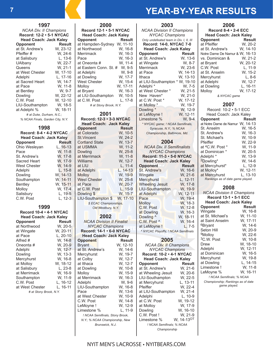# **<sup>7</sup> YEAR-BY-YEAR RESULTS**

| 1997                                                         |                        |  |  |
|--------------------------------------------------------------|------------------------|--|--|
| <b>NCAA Div. II Champions</b>                                |                        |  |  |
| Record: 12-2 · 5-1 NYCAC                                     |                        |  |  |
| <b>Head Coach: Jack Kaley</b>                                |                        |  |  |
| Opponent                                                     | Result                 |  |  |
| at St. Andrew's                                              | W. 23-12               |  |  |
| Pfeiffer#                                                    | W, 24-6                |  |  |
| at Salisbury                                                 | L, 13-6                |  |  |
| <b>UAlbany</b>                                               | W, 22-7<br>W, 21-1     |  |  |
| Queens                                                       |                        |  |  |
| at West Chester                                              | W, 17-10               |  |  |
| Adelphi                                                      | $\overline{L}$ , 17-16 |  |  |
| at Sacred Heart                                              | W, 14-7<br>W, 11-8     |  |  |
| at Pace<br>at Bentley                                        | W, 9-7                 |  |  |
| Dowling                                                      | W, 22-12               |  |  |
| C.W. Post                                                    | W, 12-10               |  |  |
| LIU-Southampton                                              | W, 18-5                |  |  |
| at Adelphi %                                                 | W, 18-11               |  |  |
|                                                              |                        |  |  |
|                                                              |                        |  |  |
| # at Duke, Durham, N.C.;<br>% NCAA Finals, Garden City, N.Y. |                        |  |  |
|                                                              |                        |  |  |
| 1998                                                         |                        |  |  |
| Record: 8-4 · 4-2 NYCAC                                      |                        |  |  |
| <b>Head Coach: Jack Kaley</b>                                |                        |  |  |
| <b>Opponent</b>                                              | <b>Result</b>          |  |  |
| Ohio Wesleyan                                                | $L, 16-13$             |  |  |
| Pace                                                         | W, 11-8                |  |  |
| St. Andrew's                                                 | W, 17-8                |  |  |
| Sacred Heart                                                 | W, 17-9                |  |  |
| <b>West Chester</b>                                          | W, 14-9                |  |  |
| Adelphi                                                      | $L, 15-8$              |  |  |
| Dowling                                                      | W, 14-13               |  |  |
| Southampton<br><b>Bentley</b>                                | W, 14-11               |  |  |
| Molloy                                                       | W, 15-11               |  |  |
| Salisbury                                                    | W, 17-4                |  |  |
| C.W. Post                                                    | L, 19-5<br>L, 12-3     |  |  |

| Record 10-4 • 4-1 NYCAC       |          |  |  |
|-------------------------------|----------|--|--|
| <b>Head Coach: Jack Kaley</b> |          |  |  |
| <b>Opponent</b>               | Result   |  |  |
| at Northwood                  | W. 20-5  |  |  |
| at Wingate                    | W, 20-11 |  |  |
| at Pace                       | L, 20-10 |  |  |
| Alfred #                      | W. 14-8  |  |  |
| Oneonta #                     | W. 20-9  |  |  |
| Adelphi                       | W. 12-7  |  |  |
| Dowling                       | W. 13-3  |  |  |
| Mercyhurst                    | W, 16-8  |  |  |
| at Mollov                     | W. 18-12 |  |  |
| at Salisbury                  | L. 23-8  |  |  |
| at Merrimack                  | W, 16-9  |  |  |
| Southampton                   | W. 11-9  |  |  |
| C.W. Post                     | L. 16-12 |  |  |
| at West Chester               | L. 16-11 |  |  |
| # at Stony Brook, N.Y.        |          |  |  |

| 2000                                               |                    |  |
|----------------------------------------------------|--------------------|--|
| Record 12-1 · 5-1 NYCAC                            |                    |  |
| <b>Head Coach: Jack Kaley</b>                      |                    |  |
| Opponent                                           | Result             |  |
| at Hampden-Sydney W, 11-10                         |                    |  |
| at Northwood                                       | W, 16-8<br>W, 16-3 |  |
| Merrimack                                          | W, 16-3            |  |
| Pace<br>at Oneonta #                               | W, 11-4            |  |
| at Eastern Conn. St. #                             |                    |  |
| at Adelphi                                         | W, 9-5<br>W, 9-8   |  |
| at Dowling                                         | W, 17-7            |  |
| <b>West Chester</b>                                | W, 15-4            |  |
| Molloy                                             | W, 17-11           |  |
| at Bryant                                          | W, 16-3            |  |
| at LIU-Southampton                                 | W, 10-5            |  |
| at C.W. Post                                       | L, 17-8            |  |
| # at Stony Brook, N.Y.                             |                    |  |
| 2001                                               |                    |  |
| Record: 12-3 · 3-3 NYCAC                           |                    |  |
| <b>Head Coach: Jack Kaley</b>                      |                    |  |
| Opponent                                           | <b>Result</b>      |  |
| at Colorado                                        | W, 10-5            |  |
| <b>St.Vincent</b>                                  | W, 24-2            |  |
| <b>Cortland State</b>                              |                    |  |
| at USMMA                                           | W, 13-7<br>W, 11-2 |  |
| Dowling                                            | W, 25-8            |  |
| at Merrimack                                       | W, 11-8            |  |
| Williams                                           | W, 12-7            |  |
| at LIU                                             | $L, 11-4$          |  |
| at Adelphi                                         | $L, 14-13$         |  |
| Molloy                                             | W, 19-9            |  |
| <b>West Chester</b>                                | W, 25-8<br>W, 20-7 |  |
| at Pace<br>at C.W. Post                            | $L, 15-9$          |  |
| Dowling \$                                         | W, 15-7            |  |
| LIU-Southampton \$                                 | W, 17-10           |  |
| \$ ECAC Championships,                             |                    |  |
| Old Westbury, N.Y.                                 |                    |  |
|                                                    |                    |  |
| 2002                                               |                    |  |
| <b>NCAA Division II Finalist</b>                   |                    |  |
| <b>NYCAC Champions</b><br>Record: 14-1 · 6-0 NYCAC |                    |  |
| <b>Head Coach: Jack Kaley</b>                      |                    |  |
| <b>Opponent</b>                                    | Result             |  |
| <b>Bryant</b>                                      | W, 12-10           |  |
| at St. Andrew's                                    | W, 14-6            |  |
| Mercyhurst                                         | W, 19-7<br>W, 12-7 |  |
| at Colby                                           |                    |  |
| at Ithaca                                          | W, 12-7            |  |
| at Dowling                                         | W, 10-8            |  |
| Molloy<br>at Merrimack                             | W, 15-9<br>W, 16-3 |  |
| Adelphi                                            | W, 9-6             |  |
| LIU-Southampton                                    | W, 16-8            |  |
| Pace                                               | $W, 13-6$          |  |
| at West Chester                                    | W, 10-9            |  |
| C.W. Post                                          | W, 14-8            |  |
| LeMoyne!                                           | W, 12-9            |  |
| Limestone %                                        | L, 11-9            |  |
| ! NCAA Semifinals, Stony Brook,                    |                    |  |
| N.Y.; % NCAA Championship, New                     |                    |  |
| Brunswick, N.J.                                    |                    |  |

| 2003                                                               |                      |  |
|--------------------------------------------------------------------|----------------------|--|
| <b>NCAA Division II Champions</b><br><b>NYCAC Champions</b>        |                      |  |
| Only undefeated team in Div. I, II, III<br>Record: 14-0, NYCAC 7-0 |                      |  |
| <b>Head Coach: Jack Kaley</b>                                      |                      |  |
| Opponent                                                           | <b>Result</b>        |  |
| at St. Andrew's                                                    | W, 13-6              |  |
| at Wingate                                                         | W, 8-7               |  |
| Merrimack                                                          | W, 23-6              |  |
| at Pace                                                            | W, 14-13             |  |
| Ithaca                                                             | W, 13-10<br>W, 19-10 |  |
| at LIU-Southampton                                                 |                      |  |
| Adelphi <sup>*</sup><br>at West Chester                            | W, 7-5               |  |
| New Haven*                                                         | $W, 21-5$<br>W, 21-0 |  |
| at C.W. Post *                                                     | W, 17-12             |  |
| at Molloy *                                                        | W, 19-7              |  |
| Dowling *                                                          | W, 12-9              |  |
| at LeMoyne !                                                       | W, 12-11             |  |
| Limestone %                                                        | W, 9-4               |  |
| * NYCAC game; ! NCAA Semifinals,                                   |                      |  |
| Syracuse, N.Y.; % NCAA                                             |                      |  |
| Championship, Baltimore, Md.                                       |                      |  |
| 2004                                                               |                      |  |
|                                                                    |                      |  |
| <b>NCAA Div. II Semifinalists<br/>NYCAC Champions</b>              |                      |  |
| Record: 11-3 · 5-0 NYCAC                                           |                      |  |
| <b>Head Coach: Jack Kaley</b>                                      |                      |  |
| <b>Opponent</b>                                                    | <b>Result</b>        |  |
| St. Andrew's                                                       | W, 16-6              |  |
| Wingate                                                            | W, 21-6<br>L, 12-11  |  |
| Mercyhurst<br><b>Wheeling Jesuit</b>                               | W, 17-8              |  |
| LIU-Southampton                                                    | W, 19-9              |  |
| at Adelphi                                                         | W, 12-11             |  |
| Pace                                                               | W, 19-4              |  |
| <b>Molloy</b>                                                      | W, 18-3              |  |
| C.W. Post                                                          | W, 12-8<br>W, 16-3   |  |
| at Dowling                                                         |                      |  |
| Dowling ^                                                          | W, 18-11             |  |
| C.W. Post ^                                                        | W, 16-4              |  |
| at LeMoyne!<br>NYCAC Playoffs; ! NCAA Semifinals                   | $L, 7-5$             |  |
|                                                                    |                      |  |
| 2005                                                               |                      |  |
| <b>NCAA Div. Il Champions</b>                                      |                      |  |
| NYCAC Champions                                                    |                      |  |
| Record: 10-2 · 4-1 NYCAC                                           |                      |  |
| <b>Head Coach: Jack Kaley</b><br>Result                            |                      |  |
| Opponent<br>at St. Andrew's                                        |                      |  |
|                                                                    |                      |  |
|                                                                    | W, 21-6              |  |
| at Wheeling Jesuit                                                 | W, 20-6              |  |
| LIU-Southampton<br>at Mercyhurst                                   | W, 22-5<br>L, 13-11  |  |
| Pfeiffer                                                           | W, 22-4              |  |
| at LIU-Southampton                                                 | W, 21-4              |  |
| Adelphi                                                            | L, 10-9              |  |
| at C.W. Post<br>at Molloy                                          | W, 19-12<br>W, 17-9  |  |

Dowling W, 16-10 C.W. Post ! W, 21-9  $Lipsic$ ,  $Lipsic$ ,  $\ldots$ <br> $Limes for$ ,  $W$ ,  $14-13$ <sup>OT</sup> *! NCAA Semifinals; % NCAA Championship*

**2006**

| Record 8-4 $\cdot$ 2-4 ECC     |  |  |
|--------------------------------|--|--|
| <b>Head Coach: Jack Kaley</b>  |  |  |
| <b>Result</b>                  |  |  |
| W. 20-2                        |  |  |
| W. 14-10                       |  |  |
| Notre Dame De Namur & W, 16-13 |  |  |
| W. 21-2                        |  |  |
| W. 20-12                       |  |  |
| L, 11-9                        |  |  |
| W. 15-2                        |  |  |
| $L.8-6$                        |  |  |
| W. 12-7                        |  |  |
| L. 16-11                       |  |  |
| W. 17-12                       |  |  |
| & NYCAC game                   |  |  |
|                                |  |  |

### **2007**

| Record: 10-2 • 5-1 ECC           |               |
|----------------------------------|---------------|
| Head Coach: Jack Kaley           |               |
| <b>Opponent</b>                  | <b>Result</b> |
| at Notre Dame de Namur W, 14-13  |               |
| St. Anselm                       | W. 16-5       |
| St. Andrew's                     | W. 16-3       |
| St. Michael's                    | W. 10-9       |
| Pfeiffer                         | W. 22-9       |
| at <sup>4</sup> C.W. Post *      | W. 11-9       |
| at Dominican *                   | W. 20-5       |
| Adelphi <sup>*</sup>             | W. 13-9       |
| <sup>2</sup> Dowling*            | W. 14-6       |
| at Mercyhurst*                   | L. 12-9       |
| at Molloy*                       | W. 12-11      |
| at Mercyhurst                    | L. 13-10      |
| Rankings as of date game played. |               |

# **2008**

| <b>NCAA Division II Champions</b> |               |  |
|-----------------------------------|---------------|--|
| Record 13-1 · 5-1 ECC             |               |  |
| <b>Head Coach: Jack Kaley</b>     |               |  |
| Opponent                          | <b>Result</b> |  |
| Wingate                           | W. 16-8       |  |
| at St. Michael's                  | W. 11-10      |  |
| at Saint Anselm                   | W. 17-11      |  |
| <sup>6</sup> Brvant               | W. 14-6       |  |
| Seton Hill                        | W. 20-9       |  |
| <sup>9</sup> Molloy               | W, 22-6       |  |
| <sup>3</sup> C.W. Post            | W, 10-8       |  |
| Drew                              | W, 18-10      |  |
| Adelphi                           | W. 12-11      |  |
| at Dominican                      | W. 16-5       |  |
| Mercyhurst                        | W. 19-8       |  |
| at Dowling                        | L. 14-15      |  |
| Limestone!                        | W. 11-8       |  |
| LeMoyne %                         | W. 16-11      |  |
| ! NCAA Semifinals; % NCAA         |               |  |
| Championship; Rankings as of date |               |  |
| game played.                      |               |  |
|                                   |               |  |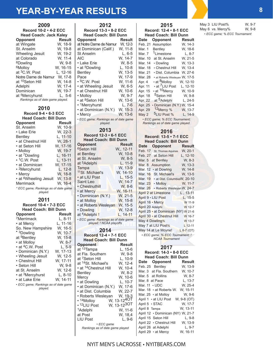# **YEAR-BY-YEAR RESULTS <sup>8</sup>**

| 2009<br>Record 10-2 · 4-2 ECC<br><b>Head Coach: Jack Kaley</b><br>Opponent<br>at Wingate<br>St. Anselm<br>Wheeling Jesuit<br>at Colorado<br><sup>8</sup> Dowling<br><sup>6</sup> Molloy<br>at <sup>3</sup> C.W. Post<br>Notre Dame de Namur<br>at <sup>10</sup> Seton Hill<br>Adelphi<br>Dominican<br>at <sup>5</sup> Mercyhurst<br>Rankings as of date game played. | <b>Result</b><br>W, 18-9<br>W, 19-8<br>W, 19-2<br>W, 11-4<br>W, 9-8<br>W, 16-15<br>L, 12-16<br>W, 17-8<br>W, 14-8<br>W, 17-4<br>W, 19-7<br>$L. 5-6$ |
|----------------------------------------------------------------------------------------------------------------------------------------------------------------------------------------------------------------------------------------------------------------------------------------------------------------------------------------------------------------------|-----------------------------------------------------------------------------------------------------------------------------------------------------|
| 2010                                                                                                                                                                                                                                                                                                                                                                 |                                                                                                                                                     |
| Record 9-4 · 6-3 ECC                                                                                                                                                                                                                                                                                                                                                 |                                                                                                                                                     |
| <b>Head Coach: Bill Dunn</b><br>Opponent                                                                                                                                                                                                                                                                                                                             | Result                                                                                                                                              |
| St. Anselm                                                                                                                                                                                                                                                                                                                                                           | W, 10-9                                                                                                                                             |
| • Lake Erie                                                                                                                                                                                                                                                                                                                                                          | W, 22-3                                                                                                                                             |
| <b>Bentley</b>                                                                                                                                                                                                                                                                                                                                                       |                                                                                                                                                     |
| • at Chestnut Hill                                                                                                                                                                                                                                                                                                                                                   | L, 11-10<br>W, 28-1                                                                                                                                 |
| • at Seton Hill                                                                                                                                                                                                                                                                                                                                                      | W, 17-16                                                                                                                                            |
| • Molloy                                                                                                                                                                                                                                                                                                                                                             | W, 19-7                                                                                                                                             |
| • at <sup>7</sup> Dowling                                                                                                                                                                                                                                                                                                                                            | L, 16-11                                                                                                                                            |
| • <sup>1</sup> C.W. Post                                                                                                                                                                                                                                                                                                                                             | L, <mark>13-11</mark><br>W, 17-15                                                                                                                   |
| · at Dominican<br>• <sup>2</sup> Mercyhurst                                                                                                                                                                                                                                                                                                                          | $L, 12-8$                                                                                                                                           |
| • Mercy                                                                                                                                                                                                                                                                                                                                                              | W, 18-8                                                                                                                                             |
| • at <sup>6</sup> Wheeling Jesuit                                                                                                                                                                                                                                                                                                                                    |                                                                                                                                                     |
| Merrimack                                                                                                                                                                                                                                                                                                                                                            | W, 13-8<br>W, 16-4                                                                                                                                  |
| * ECC game; Rankings as of date game                                                                                                                                                                                                                                                                                                                                 |                                                                                                                                                     |
| played.                                                                                                                                                                                                                                                                                                                                                              |                                                                                                                                                     |
| 2011                                                                                                                                                                                                                                                                                                                                                                 |                                                                                                                                                     |
| Record 10-4 · 7-3 ECC                                                                                                                                                                                                                                                                                                                                                |                                                                                                                                                     |
| <b>Head Coach: Bill Dunn</b>                                                                                                                                                                                                                                                                                                                                         |                                                                                                                                                     |
| <b>Opponent</b>                                                                                                                                                                                                                                                                                                                                                      | Result                                                                                                                                              |
| 7Merrimack                                                                                                                                                                                                                                                                                                                                                           | $L, 8-11$                                                                                                                                           |
| • at Mercy                                                                                                                                                                                                                                                                                                                                                           | L, 11-16                                                                                                                                            |
| So. New Hampshire                                                                                                                                                                                                                                                                                                                                                    | W, 16-5                                                                                                                                             |
| * 3Dowling                                                                                                                                                                                                                                                                                                                                                           | W, 10-7                                                                                                                                             |
| at <sup>9</sup> Bentley<br>• at Molloy                                                                                                                                                                                                                                                                                                                               | W, 15-8<br>W, 8-7                                                                                                                                   |
| • at <sup>4</sup> C.W. Post                                                                                                                                                                                                                                                                                                                                          | $L, 5-9$                                                                                                                                            |
| • Dominican (N.Y.)                                                                                                                                                                                                                                                                                                                                                   | W, 17-13                                                                                                                                            |
| • Wheeling Jesuit                                                                                                                                                                                                                                                                                                                                                    | W, 12-5                                                                                                                                             |
| • Chestnut Hill                                                                                                                                                                                                                                                                                                                                                      | W, 17-11                                                                                                                                            |
| • Seton Hill                                                                                                                                                                                                                                                                                                                                                         | W, 9-8                                                                                                                                              |
| at St. Anselm                                                                                                                                                                                                                                                                                                                                                        | W, 12-6                                                                                                                                             |
| • at <sup>3</sup> Mercyhurst                                                                                                                                                                                                                                                                                                                                         | $L, 8-10$                                                                                                                                           |
| • at Lake Erie                                                                                                                                                                                                                                                                                                                                                       | W, 14-11                                                                                                                                            |
| · ECC game; Rankings as of date game<br>played.                                                                                                                                                                                                                                                                                                                      |                                                                                                                                                     |

| 2012                                               |                         |  |
|----------------------------------------------------|-------------------------|--|
| Record 13-3 · 8-2 ECC                              |                         |  |
| <b>Head Coach: Bill Dunn</b>                       |                         |  |
| Opponent<br>at Notre Dame de Namur                 | Result                  |  |
| at Dominican (Calif.)                              | W, 12-3<br>W, 11-8      |  |
| St Anselm                                          | $L, 6-5$                |  |
| <b>AIC</b>                                         | W, 14-7                 |  |
| • Lake Erie                                        | W, 8-5                  |  |
| • at <sup>5</sup> Dowling                          | $L, 10-8$               |  |
| <b>Bentley</b>                                     | $\overline{W}$ , 13-5   |  |
| Pace                                               | W, 17-9                 |  |
| • <sup>9</sup> C.W. Post                           | W, 11-6                 |  |
| • at Wheeling Jesuit                               | W, 6-5                  |  |
| · at Chestnut Hill                                 | W, 10-6                 |  |
| • Molloy                                           | W, 9-7                  |  |
| • at <sup>8</sup> Seton Hill                       | W, 13-6                 |  |
| • <sup>1</sup> Mercyhurst<br>· at Dominican (N.Y.) | $L, 7-6$<br>W, 15-3     |  |
| • Mercy                                            | W, 13-6                 |  |
| · ECC game; Rankings as of date game               |                         |  |
| played.                                            |                         |  |
|                                                    |                         |  |
| 2013<br>Record 12-3 · 6-1 ECC                      |                         |  |
| <b>Head Coach: Bill Dunn</b>                       |                         |  |
| Opponent                                           | <b>Result</b>           |  |
| <sup>6</sup> Seton Hill                            | W., 12-11               |  |
| at Bentley                                         | W, 10-8                 |  |
| at St. Anselm                                      | W, 8-5                  |  |
| at <sup>5</sup> Adelphi                            | $L, 11-9$               |  |
| Tampa                                              | W, 13-9                 |  |
| 11St. Michael's                                    | W, 14-10                |  |
| • at LIU Post                                      | L, 15-5<br>W, 14-7      |  |
| Saint Leo                                          |                         |  |
| • Chestnuthill                                     | W, 8-6                  |  |
| • at Mercy                                         | W, 16-11                |  |
| · Dominican (N.Y.)                                 | W <mark>, 21-5</mark>   |  |
| · at Molloy<br>· at Roberts Wesleyan               | W, 15-8<br>W, 15-5      |  |
| • Dowling                                          | W, 12-8                 |  |
| at <sup>4</sup> Adelphi!                           | L, 14-11                |  |
| • ECC game; Rankings as of date game               |                         |  |
| played; ! NCAA playoffs                            |                         |  |
| 2014                                               |                         |  |
| Record 12-4 · 7-1 ECC                              |                         |  |
| <b>Head Coach: Bill Dunn</b>                       |                         |  |
| <b>Opponent</b>                                    | <b>Result</b>           |  |
| at <sup>13</sup> Tampa                             | L, 15-6                 |  |
| at Fla. Southern                                   | W, 9-8                  |  |
| at <sup>7</sup> Seton Hill                         | L, 10-9                 |  |
| at <sup>14</sup> St. Michael's                     | W, 12-4                 |  |
| • at <sup>14</sup> Chestnut Hill                   | W, 10-4                 |  |
| <b>Bentley</b>                                     | W, 8-2                  |  |
| Mercy                                              | W, 10-6                 |  |
| • at Dowling<br>· at Dominican (N.Y.)              | $L, 10-7$               |  |
| · at Dist. Columbia                                | W, 17-6<br>W, 22-7      |  |
| • Roberts Wesleyan                                 | W, 19-3                 |  |
| • <sup>14</sup> Molloy                             | W, 13-1240T             |  |
| • <sup>12</sup> LIU Post                           | W, 13-12 <sup>30T</sup> |  |
| <sup>1</sup> Adelphi                               | W, 11-6                 |  |
| at Post                                            | W, 18,4                 |  |
| LIU Post                                           | $L, 9-6$                |  |
| • ECC game                                         |                         |  |
| Rankings as of date game played                    |                         |  |
|                                                    |                         |  |

| 2015                   |                                                                                         |               |
|------------------------|-----------------------------------------------------------------------------------------|---------------|
| Record: 12-4 · 8-1 ECC |                                                                                         |               |
|                        | <b>Head Coach: Bill Dunn</b>                                                            |               |
| Date                   | Opponent                                                                                | <b>Result</b> |
| Feb. 21                | Assumption                                                                              | W. 14-3       |
| Mar. 1                 | <b>Bentley</b>                                                                          | W, 18-6       |
| Mar. 7                 | <sup>1</sup> Limestone                                                                  | $L, 8-7$      |
| Mar. 10                | at St. Anselm                                                                           | W, 21-5       |
| Mar. 14                | • Dowling                                                                               | W. 13-3       |
| Mar. 18                | • Chestnut Hill                                                                         | W, 13-4       |
| Mar. 21                | · Dist. Columbia                                                                        | W, 27-6       |
| Mar. 28                | • at Roberts Wesleyan W, 17-5                                                           |               |
| Apr. 4                 | • at <sup>8</sup> Molloy                                                                | W, 12-10      |
| Apr. 11                | • at <sup>7</sup> LIU Post                                                              | L, 12-10      |
| Apr. 15                | • at <sup>10</sup> Mercy                                                                | W, 10-9       |
| Apr. 18                | 5 <sub>Seton</sub> Hill                                                                 | W, 9-8        |
| Apr. 22                | at <sup>5</sup> Adelphi                                                                 | $L, 24-5$     |
| Apr. 25                | · Dominican (N.Y.) W, 15-4                                                              |               |
| Apr. 29                | 12Mercy %                                                                               | W, 13-7       |
| May 2                  | <sup>5</sup> LIU Post %                                                                 | $L. 14-9$     |
|                        | · ECC game; % ECC Tournament;                                                           |               |
|                        | Rankings as of date game played.                                                        |               |
|                        | 2016                                                                                    |               |
|                        |                                                                                         |               |
|                        |                                                                                         |               |
|                        | Record: 13-5 · 7-1 ECC                                                                  |               |
|                        | <b>Head Coach: Bill Dunn</b>                                                            |               |
| Date                   | Opponent                                                                                | <b>Result</b> |
|                        | Feb. 17 St. Thomas Aquinas                                                              | W, 20-1       |
| Feb. 27                | at Seton Hill                                                                           | L, 12-10      |
|                        | Mar. 5 at Bentley                                                                       | W, 8-3        |
|                        | Mar. 8 Assumption                                                                       | W, 13-3       |
|                        | Mar. 12 · at Dowling                                                                    | W, 14-8       |
|                        | Mar. 16 St. Michael's                                                                   | W, 13-5       |
| Mar. 19                | · at Dist. ColumbiaW, 20-10                                                             |               |
|                        |                                                                                         |               |
|                        | Mar. 23 • Molloy W, 11-7<br>Mar. 26 • Roberts Wesleyan W, 24-7                          |               |
|                        | April 2 at Limestone                                                                    | $L, 13-11$    |
|                        | April 9 . LIU Post                                                                      | $L, 15-5$     |
|                        | April 16 • Mercy                                                                        | W 11-9        |
| April 20 Adelphi       |                                                                                         | W 12-7        |
|                        | April 25 · at Dominican (NY) W 21-6                                                     |               |
|                        | April 30 • at Chestnut Hill                                                             | W 16-7        |
|                        | May 4 Dowling%                                                                          | W 13-7        |
|                        | May 7 at LIU Post%                                                                      | $L$ 12-11     |
|                        | May 14 at Le Moyne!<br>· ECC game; % ECC Tournament; !<br>NCAA <mark>Tourna</mark> ment | $L$ 8-7 (OT)  |

| Record: 14-3 • 8-0 ECC                 |             |  |
|----------------------------------------|-------------|--|
| <b>Head Coach: Bill Dunn</b>           |             |  |
| Opponent<br>Date                       | Result      |  |
| Feb. 25 Bentley                        | W, 13-9     |  |
| Mar. 3 at Fla. Southern                | W, 10-7     |  |
| Mar. 5 at Rollins                      | W, 8-7      |  |
| Mar. 8 at Pace                         | L, 13-7     |  |
| Mar. $11 \cdot \text{UDC}$             | W. 25-4     |  |
| Mar. $18 \cdot at$ Roberts W. W, 15-11 |             |  |
| Mar. 25 $\cdot$ at Molloy              | W. 9-6      |  |
| April 1 · at LIU Post                  | W, 9-8 (OT) |  |
| April 5 · STAC                         | W. 17-7     |  |
| April 8 Tampa                          | W. 13-11    |  |
| April 12 · Dominican (NY) W, 21-7      |             |  |
| April 15 Seton Hill                    | L. 9-8      |  |
| April 22 • Chestnut Hill               | W. 13-9     |  |
| April 26 at Adelphi                    | $L, 9-7$    |  |
| April 29 • at Mercy                    | W, 16-11    |  |

#### May 3 LIU Post% W, 9-7<br>May 6 vs. Mercy% W, 9-8  $May 6$  vs. Mercy% *• ECC game; % ECC Tournament*

**2017**